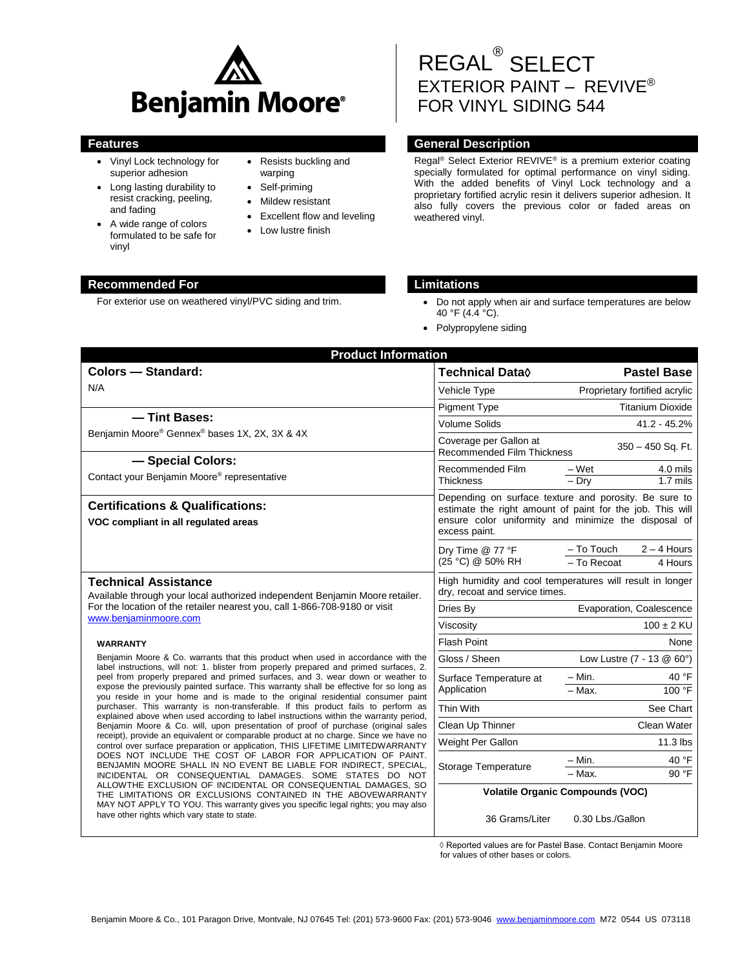

- Vinyl Lock technology for superior adhesion
- Long lasting durability to resist cracking, peeling, and fading
- A wide range of colors formulated to be safe for vinyl
- Resists buckling and warping
- Self-priming
- Mildew resistant
- Excellent flow and leveling
- Low lustre finish

# REGAL® SELECT EXTERIOR PAINT – REVIVE ® FOR VINYL SIDING 544

### **Features General Description**

Regal® Select Exterior REVIVE® is a premium exterior coating specially formulated for optimal performance on vinyl siding. With the added benefits of Vinyl Lock technology and a proprietary fortified acrylic resin it delivers superior adhesion. It also fully covers the previous color or faded areas on weathered vinyl.

#### **Recommended For Limitations**

- For exterior use on weathered vinyl/PVC siding and trim.  $\bullet$  Do not apply when air and surface temperatures are below 40 °F (4.4 °C).
	- Polypropylene siding

| <b>Product Information</b>                                                                                                                                                                                                                                                                                                                                                                                                                                                                                                                                                                                                                                                                                                                                                                                                                                                                                                                                                                                                                                                                                                                                                                                                                                                                                                                                    |                                                                                                                                                                                             |                                                           |  |
|---------------------------------------------------------------------------------------------------------------------------------------------------------------------------------------------------------------------------------------------------------------------------------------------------------------------------------------------------------------------------------------------------------------------------------------------------------------------------------------------------------------------------------------------------------------------------------------------------------------------------------------------------------------------------------------------------------------------------------------------------------------------------------------------------------------------------------------------------------------------------------------------------------------------------------------------------------------------------------------------------------------------------------------------------------------------------------------------------------------------------------------------------------------------------------------------------------------------------------------------------------------------------------------------------------------------------------------------------------------|---------------------------------------------------------------------------------------------------------------------------------------------------------------------------------------------|-----------------------------------------------------------|--|
| <b>Colors - Standard:</b>                                                                                                                                                                                                                                                                                                                                                                                                                                                                                                                                                                                                                                                                                                                                                                                                                                                                                                                                                                                                                                                                                                                                                                                                                                                                                                                                     | Technical Data $\Diamond$                                                                                                                                                                   | <b>Pastel Base</b>                                        |  |
| N/A                                                                                                                                                                                                                                                                                                                                                                                                                                                                                                                                                                                                                                                                                                                                                                                                                                                                                                                                                                                                                                                                                                                                                                                                                                                                                                                                                           | Vehicle Type                                                                                                                                                                                | Proprietary fortified acrylic                             |  |
|                                                                                                                                                                                                                                                                                                                                                                                                                                                                                                                                                                                                                                                                                                                                                                                                                                                                                                                                                                                                                                                                                                                                                                                                                                                                                                                                                               | <b>Pigment Type</b>                                                                                                                                                                         | <b>Titanium Dioxide</b>                                   |  |
| - Tint Bases:<br>Benjamin Moore® Gennex® bases 1X, 2X, 3X & 4X                                                                                                                                                                                                                                                                                                                                                                                                                                                                                                                                                                                                                                                                                                                                                                                                                                                                                                                                                                                                                                                                                                                                                                                                                                                                                                | <b>Volume Solids</b>                                                                                                                                                                        | 41.2 - 45.2%                                              |  |
|                                                                                                                                                                                                                                                                                                                                                                                                                                                                                                                                                                                                                                                                                                                                                                                                                                                                                                                                                                                                                                                                                                                                                                                                                                                                                                                                                               | Coverage per Gallon at<br>350 - 450 Sq. Ft.<br><b>Recommended Film Thickness</b>                                                                                                            |                                                           |  |
| - Special Colors:<br>Contact your Benjamin Moore® representative                                                                                                                                                                                                                                                                                                                                                                                                                                                                                                                                                                                                                                                                                                                                                                                                                                                                                                                                                                                                                                                                                                                                                                                                                                                                                              | Recommended Film<br><b>Thickness</b>                                                                                                                                                        | 4.0 mils<br>– Wet<br>$-$ Drv<br>$1.7$ mils                |  |
| <b>Certifications &amp; Qualifications:</b><br>VOC compliant in all regulated areas                                                                                                                                                                                                                                                                                                                                                                                                                                                                                                                                                                                                                                                                                                                                                                                                                                                                                                                                                                                                                                                                                                                                                                                                                                                                           | Depending on surface texture and porosity. Be sure to<br>estimate the right amount of paint for the job. This will<br>ensure color uniformity and minimize the disposal of<br>excess paint. |                                                           |  |
|                                                                                                                                                                                                                                                                                                                                                                                                                                                                                                                                                                                                                                                                                                                                                                                                                                                                                                                                                                                                                                                                                                                                                                                                                                                                                                                                                               | Dry Time @ 77 °F<br>(25 °C) @ 50% RH                                                                                                                                                        | $-$ To Touch<br>$2 - 4$ Hours<br>- To Recoat<br>4 Hours   |  |
| <b>Technical Assistance</b><br>Available through your local authorized independent Benjamin Moore retailer.                                                                                                                                                                                                                                                                                                                                                                                                                                                                                                                                                                                                                                                                                                                                                                                                                                                                                                                                                                                                                                                                                                                                                                                                                                                   | dry, recoat and service times.                                                                                                                                                              | High humidity and cool temperatures will result in longer |  |
| For the location of the retailer nearest you, call 1-866-708-9180 or visit<br>www.beniaminmoore.com                                                                                                                                                                                                                                                                                                                                                                                                                                                                                                                                                                                                                                                                                                                                                                                                                                                                                                                                                                                                                                                                                                                                                                                                                                                           | Dries By                                                                                                                                                                                    | Evaporation, Coalescence                                  |  |
|                                                                                                                                                                                                                                                                                                                                                                                                                                                                                                                                                                                                                                                                                                                                                                                                                                                                                                                                                                                                                                                                                                                                                                                                                                                                                                                                                               | Viscosity                                                                                                                                                                                   | $100 \pm 2$ KU                                            |  |
| <b>WARRANTY</b>                                                                                                                                                                                                                                                                                                                                                                                                                                                                                                                                                                                                                                                                                                                                                                                                                                                                                                                                                                                                                                                                                                                                                                                                                                                                                                                                               | <b>Flash Point</b>                                                                                                                                                                          | None                                                      |  |
| Benjamin Moore & Co. warrants that this product when used in accordance with the<br>label instructions, will not: 1. blister from properly prepared and primed surfaces, 2.<br>peel from properly prepared and primed surfaces, and 3. wear down or weather to<br>expose the previously painted surface. This warranty shall be effective for so long as<br>you reside in your home and is made to the original residential consumer paint<br>purchaser. This warranty is non-transferable. If this product fails to perform as<br>explained above when used according to label instructions within the warranty period,<br>Benjamin Moore & Co. will, upon presentation of proof of purchase (original sales<br>receipt), provide an equivalent or comparable product at no charge. Since we have no<br>control over surface preparation or application, THIS LIFETIME LIMITEDWARRANTY<br>DOES NOT INCLUDE THE COST OF LABOR FOR APPLICATION OF PAINT.<br>BENJAMIN MOORE SHALL IN NO EVENT BE LIABLE FOR INDIRECT, SPECIAL,<br>INCIDENTAL OR CONSEQUENTIAL DAMAGES. SOME STATES DO NOT<br>ALLOWTHE EXCLUSION OF INCIDENTAL OR CONSEQUENTIAL DAMAGES, SO<br>THE LIMITATIONS OR EXCLUSIONS CONTAINED IN THE ABOVEWARRANTY<br>MAY NOT APPLY TO YOU. This warranty gives you specific legal rights; you may also<br>have other rights which vary state to state. | Gloss / Sheen                                                                                                                                                                               | Low Lustre (7 - 13 @ 60°)                                 |  |
|                                                                                                                                                                                                                                                                                                                                                                                                                                                                                                                                                                                                                                                                                                                                                                                                                                                                                                                                                                                                                                                                                                                                                                                                                                                                                                                                                               | Surface Temperature at<br>Application                                                                                                                                                       | $-$ Min.<br>40 °F<br>100 °F<br>$-$ Max.                   |  |
|                                                                                                                                                                                                                                                                                                                                                                                                                                                                                                                                                                                                                                                                                                                                                                                                                                                                                                                                                                                                                                                                                                                                                                                                                                                                                                                                                               | Thin With                                                                                                                                                                                   | See Chart                                                 |  |
|                                                                                                                                                                                                                                                                                                                                                                                                                                                                                                                                                                                                                                                                                                                                                                                                                                                                                                                                                                                                                                                                                                                                                                                                                                                                                                                                                               | Clean Up Thinner                                                                                                                                                                            | Clean Water                                               |  |
|                                                                                                                                                                                                                                                                                                                                                                                                                                                                                                                                                                                                                                                                                                                                                                                                                                                                                                                                                                                                                                                                                                                                                                                                                                                                                                                                                               | Weight Per Gallon                                                                                                                                                                           | $11.3$ lbs                                                |  |
|                                                                                                                                                                                                                                                                                                                                                                                                                                                                                                                                                                                                                                                                                                                                                                                                                                                                                                                                                                                                                                                                                                                                                                                                                                                                                                                                                               | Storage Temperature                                                                                                                                                                         | 40 °F<br>$-$ Min.<br>90 °F<br>$-$ Max.                    |  |
|                                                                                                                                                                                                                                                                                                                                                                                                                                                                                                                                                                                                                                                                                                                                                                                                                                                                                                                                                                                                                                                                                                                                                                                                                                                                                                                                                               | <b>Volatile Organic Compounds (VOC)</b>                                                                                                                                                     |                                                           |  |
|                                                                                                                                                                                                                                                                                                                                                                                                                                                                                                                                                                                                                                                                                                                                                                                                                                                                                                                                                                                                                                                                                                                                                                                                                                                                                                                                                               | 36 Grams/Liter                                                                                                                                                                              | 0.30 Lbs./Gallon                                          |  |

◊ Reported values are for Pastel Base. Contact Benjamin Moore for values of other bases or colors.